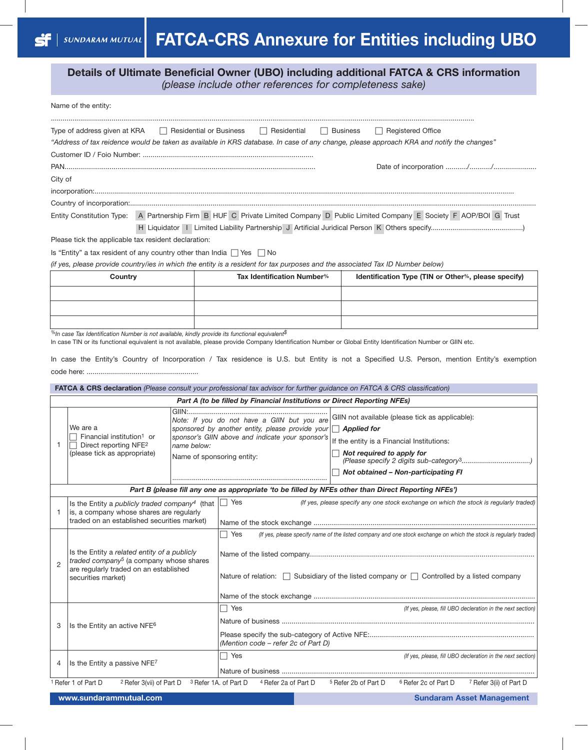**Details of Ultimate Beneficial Owner (UBO) including additional FATCA & CRS information** *(please include other references for completeness sake)*

|                                                                                                                                                                                       | Name of the entity:                                                                                                                                   |                                                                                                      |                                                                                                                                                                                                      |  |                                                                                                                                                                   |                                 |                                                                                        |
|---------------------------------------------------------------------------------------------------------------------------------------------------------------------------------------|-------------------------------------------------------------------------------------------------------------------------------------------------------|------------------------------------------------------------------------------------------------------|------------------------------------------------------------------------------------------------------------------------------------------------------------------------------------------------------|--|-------------------------------------------------------------------------------------------------------------------------------------------------------------------|---------------------------------|----------------------------------------------------------------------------------------|
|                                                                                                                                                                                       | Type of address given at KRA                                                                                                                          | Residential or Business                                                                              | Residential<br>"Address of tax reidence would be taken as available in KRS database. In case of any change, please approach KRA and notify the changes"                                              |  | Business                                                                                                                                                          | Registered Office               |                                                                                        |
|                                                                                                                                                                                       |                                                                                                                                                       |                                                                                                      |                                                                                                                                                                                                      |  |                                                                                                                                                                   |                                 |                                                                                        |
| City of                                                                                                                                                                               |                                                                                                                                                       |                                                                                                      |                                                                                                                                                                                                      |  |                                                                                                                                                                   |                                 |                                                                                        |
|                                                                                                                                                                                       |                                                                                                                                                       |                                                                                                      |                                                                                                                                                                                                      |  |                                                                                                                                                                   |                                 |                                                                                        |
|                                                                                                                                                                                       |                                                                                                                                                       |                                                                                                      |                                                                                                                                                                                                      |  |                                                                                                                                                                   |                                 |                                                                                        |
|                                                                                                                                                                                       |                                                                                                                                                       |                                                                                                      | Entity Constitution Type: A Partnership Firm B HUF C Private Limited Company D Public Limited Company E Society F AOP/BOI G Trust                                                                    |  |                                                                                                                                                                   |                                 |                                                                                        |
|                                                                                                                                                                                       | Please tick the applicable tax resident declaration:                                                                                                  |                                                                                                      |                                                                                                                                                                                                      |  |                                                                                                                                                                   |                                 |                                                                                        |
|                                                                                                                                                                                       | Is "Entity" a tax resident of any country other than India $\Box$ Yes $\Box$ No                                                                       |                                                                                                      |                                                                                                                                                                                                      |  |                                                                                                                                                                   |                                 |                                                                                        |
|                                                                                                                                                                                       | Country                                                                                                                                               |                                                                                                      | (if yes, please provide country/ies in which the entity is a resident for tax purposes and the associated Tax ID Number below)<br>Tax Identification Number%                                         |  | Identification Type (TIN or Other%, please specify)                                                                                                               |                                 |                                                                                        |
|                                                                                                                                                                                       |                                                                                                                                                       |                                                                                                      |                                                                                                                                                                                                      |  |                                                                                                                                                                   |                                 |                                                                                        |
|                                                                                                                                                                                       |                                                                                                                                                       |                                                                                                      |                                                                                                                                                                                                      |  |                                                                                                                                                                   |                                 |                                                                                        |
|                                                                                                                                                                                       |                                                                                                                                                       |                                                                                                      |                                                                                                                                                                                                      |  |                                                                                                                                                                   |                                 |                                                                                        |
|                                                                                                                                                                                       |                                                                                                                                                       |                                                                                                      |                                                                                                                                                                                                      |  |                                                                                                                                                                   |                                 |                                                                                        |
|                                                                                                                                                                                       | $\%$ In case Tax Identification Number is not available, kindly provide its functional equivalent $\$$                                                |                                                                                                      | In case TIN or its functional equivalent is not available, please provide Company Identification Number or Global Entity Identification Number or GIIN etc.                                          |  |                                                                                                                                                                   |                                 |                                                                                        |
|                                                                                                                                                                                       |                                                                                                                                                       |                                                                                                      | In case the Entity's Country of Incorporation / Tax residence is U.S. but Entity is not a Specified U.S. Person, mention Entity's exemptior                                                          |  |                                                                                                                                                                   |                                 |                                                                                        |
|                                                                                                                                                                                       |                                                                                                                                                       |                                                                                                      |                                                                                                                                                                                                      |  |                                                                                                                                                                   |                                 |                                                                                        |
|                                                                                                                                                                                       |                                                                                                                                                       |                                                                                                      | FATCA & CRS declaration (Please consult your professional tax advisor for further guidance on FATCA & CRS classification)                                                                            |  |                                                                                                                                                                   |                                 |                                                                                        |
|                                                                                                                                                                                       |                                                                                                                                                       |                                                                                                      | Part A (to be filled by Financial Institutions or Direct Reporting NFEs)                                                                                                                             |  |                                                                                                                                                                   |                                 |                                                                                        |
| We are a<br>Financial institution <sup>1</sup> or<br>-1<br>Direct reporting NFE <sup>2</sup><br>name below:<br>(please tick as appropriate)                                           |                                                                                                                                                       |                                                                                                      | Note: If you do not have a GIIN but you are<br>sponsored by another entity, please provide your $\Box$ Applied for<br>sponsor's GIIN above and indicate your sponsor's<br>Name of sponsoring entity: |  | GIIN not available (please tick as applicable):<br>If the entity is a Financial Institutions:<br>Not required to apply for<br>Not obtained - Non-participating FI |                                 |                                                                                        |
|                                                                                                                                                                                       |                                                                                                                                                       |                                                                                                      | Part B (please fill any one as appropriate 'to be filled by NFEs other than Direct Reporting NFEs')                                                                                                  |  |                                                                                                                                                                   |                                 |                                                                                        |
| -1                                                                                                                                                                                    | Is the Entity a publicly traded company <sup>4</sup> (that<br>is, a company whose shares are regularly<br>traded on an established securities market) |                                                                                                      | Yes                                                                                                                                                                                                  |  |                                                                                                                                                                   |                                 | (If yes, please specify any one stock exchange on which the stock is regularly traded) |
|                                                                                                                                                                                       |                                                                                                                                                       |                                                                                                      | $\Box$ Yes<br>(If yes, please specify name of the listed company and one stock exchange on which the stock is regularly traded)                                                                      |  |                                                                                                                                                                   |                                 |                                                                                        |
| Is the Entity a related entity of a publicly<br>traded company <sup>5</sup> (a company whose shares<br>$\overline{2}$<br>are regularly traded on an established<br>securities market) |                                                                                                                                                       | Nature of relation: $\Box$ Subsidiary of the listed company or $\Box$ Controlled by a listed company |                                                                                                                                                                                                      |  |                                                                                                                                                                   |                                 |                                                                                        |
|                                                                                                                                                                                       |                                                                                                                                                       |                                                                                                      |                                                                                                                                                                                                      |  |                                                                                                                                                                   |                                 |                                                                                        |
|                                                                                                                                                                                       | Is the Entity an active NFE6                                                                                                                          |                                                                                                      | $\Box$ Yes                                                                                                                                                                                           |  |                                                                                                                                                                   |                                 | (If yes, please, fill UBO decleration in the next section)                             |
| 3                                                                                                                                                                                     |                                                                                                                                                       |                                                                                                      | (Mention code - refer 2c of Part D)                                                                                                                                                                  |  |                                                                                                                                                                   |                                 |                                                                                        |
| 4                                                                                                                                                                                     | Is the Entity a passive NFE7                                                                                                                          |                                                                                                      | $\Box$ Yes                                                                                                                                                                                           |  |                                                                                                                                                                   |                                 | (If yes, please, fill UBO decleration in the next section)                             |
|                                                                                                                                                                                       | <sup>1</sup> Refer 1 of Part D<br><sup>2</sup> Refer 3(vii) of Part D                                                                                 |                                                                                                      | <sup>3</sup> Refer 1A. of Part D<br><sup>4</sup> Refer 2a of Part D                                                                                                                                  |  | <sup>5</sup> Refer 2b of Part D                                                                                                                                   | <sup>6</sup> Refer 2c of Part D | 7 Refer 3(ii) of Part D                                                                |

**www.sundarammutual.com Sundarammutual.com Sundaram Asset Management**